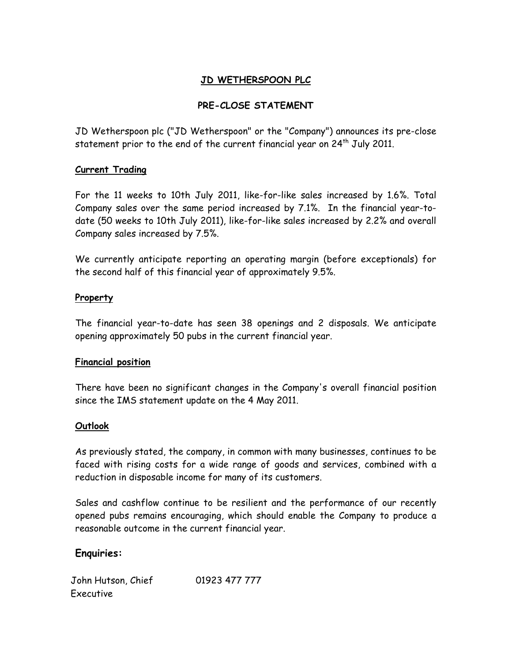# **JD WETHERSPOON PLC**

# **PRE-CLOSE STATEMENT**

JD Wetherspoon plc ("JD Wetherspoon" or the "Company") announces its pre-close statement prior to the end of the current financial year on  $24<sup>th</sup>$  July 2011.

## **Current Trading**

For the 11 weeks to 10th July 2011, like-for-like sales increased by 1.6%. Total Company sales over the same period increased by 7.1%. In the financial year-todate (50 weeks to 10th July 2011), like-for-like sales increased by 2.2% and overall Company sales increased by 7.5%.

We currently anticipate reporting an operating margin (before exceptionals) for the second half of this financial year of approximately 9.5%.

### **Property**

The financial year-to-date has seen 38 openings and 2 disposals. We anticipate opening approximately 50 pubs in the current financial year.

#### **Financial position**

There have been no significant changes in the Company's overall financial position since the IMS statement update on the 4 May 2011.

#### **Outlook**

As previously stated, the company, in common with many businesses, continues to be faced with rising costs for a wide range of goods and services, combined with a reduction in disposable income for many of its customers.

Sales and cashflow continue to be resilient and the performance of our recently opened pubs remains encouraging, which should enable the Company to produce a reasonable outcome in the current financial year.

## **Enquiries:**

John Hutson, Chief Executive 01923 477 777